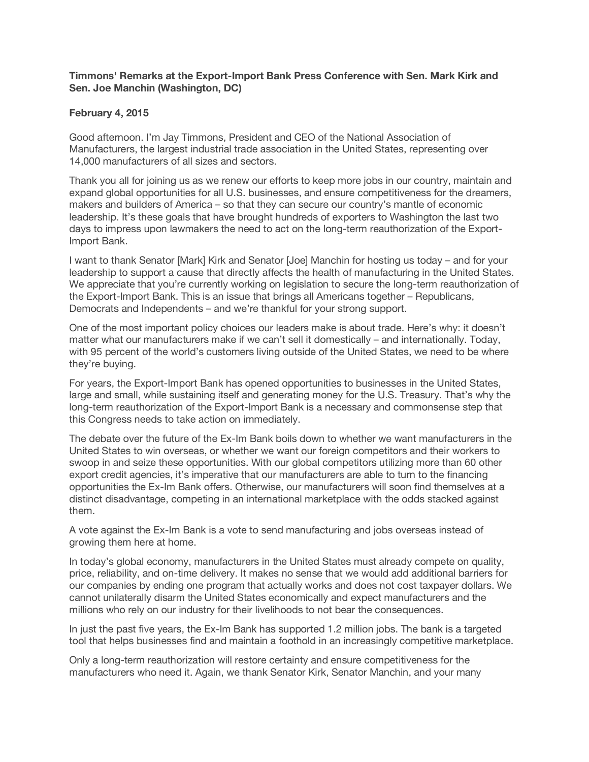## **Timmons' Remarks at the Export-Import Bank Press Conference with Sen. Mark Kirk and Sen. Joe Manchin (Washington, DC)**

## **February 4, 2015**

Good afternoon. I'm Jay Timmons, President and CEO of the National Association of Manufacturers, the largest industrial trade association in the United States, representing over 14,000 manufacturers of all sizes and sectors.

Thank you all for joining us as we renew our efforts to keep more jobs in our country, maintain and expand global opportunities for all U.S. businesses, and ensure competitiveness for the dreamers, makers and builders of America – so that they can secure our country's mantle of economic leadership. It's these goals that have brought hundreds of exporters to Washington the last two days to impress upon lawmakers the need to act on the long-term reauthorization of the Export-Import Bank.

I want to thank Senator [Mark] Kirk and Senator [Joe] Manchin for hosting us today – and for your leadership to support a cause that directly affects the health of manufacturing in the United States. We appreciate that you're currently working on legislation to secure the long-term reauthorization of the Export-Import Bank. This is an issue that brings all Americans together – Republicans, Democrats and Independents – and we're thankful for your strong support.

One of the most important policy choices our leaders make is about trade. Here's why: it doesn't matter what our manufacturers make if we can't sell it domestically – and internationally. Today, with 95 percent of the world's customers living outside of the United States, we need to be where they're buying.

For years, the Export-Import Bank has opened opportunities to businesses in the United States, large and small, while sustaining itself and generating money for the U.S. Treasury. That's why the long-term reauthorization of the Export-Import Bank is a necessary and commonsense step that this Congress needs to take action on immediately.

The debate over the future of the Ex-Im Bank boils down to whether we want manufacturers in the United States to win overseas, or whether we want our foreign competitors and their workers to swoop in and seize these opportunities. With our global competitors utilizing more than 60 other export credit agencies, it's imperative that our manufacturers are able to turn to the financing opportunities the Ex-Im Bank offers. Otherwise, our manufacturers will soon find themselves at a distinct disadvantage, competing in an international marketplace with the odds stacked against them.

A vote against the Ex-Im Bank is a vote to send manufacturing and jobs overseas instead of growing them here at home.

In today's global economy, manufacturers in the United States must already compete on quality, price, reliability, and on-time delivery. It makes no sense that we would add additional barriers for our companies by ending one program that actually works and does not cost taxpayer dollars. We cannot unilaterally disarm the United States economically and expect manufacturers and the millions who rely on our industry for their livelihoods to not bear the consequences.

In just the past five years, the Ex-Im Bank has supported 1.2 million jobs. The bank is a targeted tool that helps businesses find and maintain a foothold in an increasingly competitive marketplace.

Only a long-term reauthorization will restore certainty and ensure competitiveness for the manufacturers who need it. Again, we thank Senator Kirk, Senator Manchin, and your many